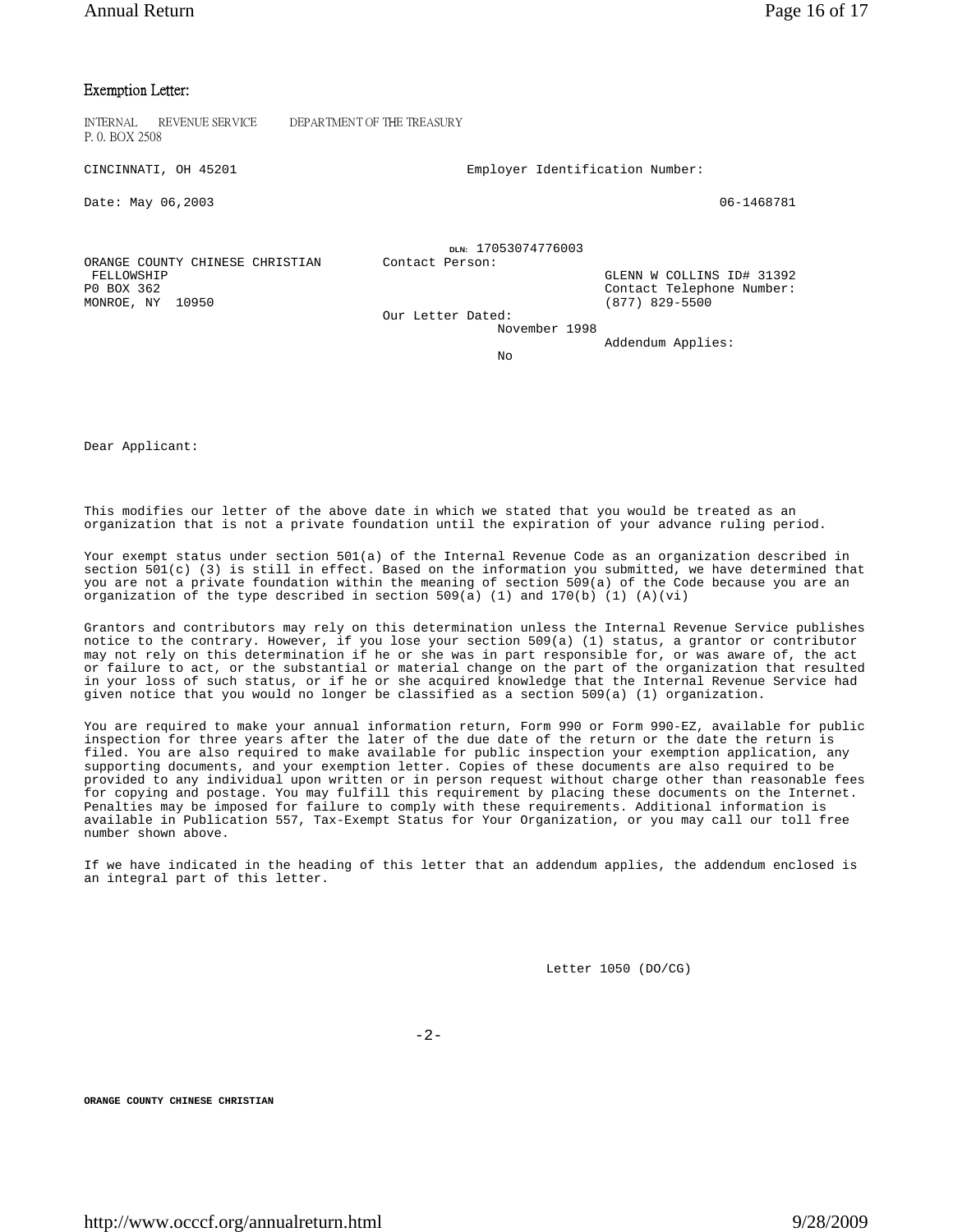## Exemption Letter:

INTERNAL REVENUE SERVICE DEPARTMENT OF THE TREASURY P. 0. BOX 2508

CINCINNATI, OH 45201 Employer Identification Number:

ORANGE COUNTY CHINESE CHRISTIAN<br>FELLOWSHIP

Date: May 06,2003 06-1468781

MONROE, NY 10950

**DLN:** 17053074776003<br> **Contact Person:** 

 FELLOWSHIP GLENN W COLLINS ID# 31392 Contact Telephone Number:<br>(877) 829-5500

 Our Letter Dated: November 1998

Addendum Applies:

No

Dear Applicant:

This modifies our letter of the above date in which we stated that you would be treated as an organization that is not a private foundation until the expiration of your advance ruling period.

Your exempt status under section 501(a) of the Internal Revenue Code as an organization described in section 501(c) (3) is still in effect. Based on the information you submitted, we have determined that you are not a private foundation within the meaning of section 509(a) of the Code because you are an organization of the type described in section  $509(a)$  (1) and  $170(b)$  (1) (A)(vi)

Grantors and contributors may rely on this determination unless the Internal Revenue Service publishes notice to the contrary. However, if you lose your section 509(a) (1) status, a grantor or contributor may not rely on this determination if he or she was in part responsible for, or was aware of, the act or failure to act, or the substantial or material change on the part of the organization that resulted in your loss of such status, or if he or she acquired knowledge that the Internal Revenue Service had given notice that you would no longer be classified as a section 509(a) (1) organization.

You are required to make your annual information return, Form 990 or Form 990-EZ, available for public inspection for three years after the later of the due date of the return or the date the return is filed. You are also required to make available for public inspection your exemption application, any supporting documents, and your exemption letter. Copies of these documents are also required to be provided to any individual upon written or in person request without charge other than reasonable fees for copying and postage. You may fulfill this requirement by placing these documents on the Internet. Penalties may be imposed for failure to comply with these requirements. Additional information is available in Publication 557, Tax-Exempt Status for Your Organization, or you may call our toll free number shown above.

If we have indicated in the heading of this letter that an addendum applies, the addendum enclosed is an integral part of this letter.

Letter 1050 (DO/CG)

-2-

**ORANGE COUNTY CHINESE CHRISTIAN**